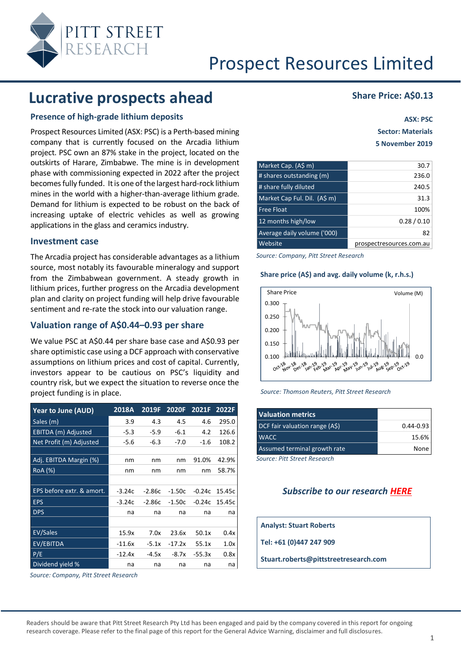

### **Lucrative prospects ahead Share Price: A\$0.13**

#### **Presence of high-grade lithium deposits**

Prospect Resources Limited (ASX: PSC) is a Perth-based mining company that is currently focused on the Arcadia lithium project. PSC own an 87% stake in the project, located on the outskirts of Harare, Zimbabwe. The mine is in development phase with commissioning expected in 2022 after the project becomes fully funded. It is one of the largest hard-rock lithium mines in the world with a higher-than-average lithium grade. Demand for lithium is expected to be robust on the back of increasing uptake of electric vehicles as well as growing applications in the glass and ceramics industry.

#### **Investment case**

The Arcadia project has considerable advantages as a lithium source, most notably its favourable mineralogy and support from the Zimbabwean government. A steady growth in lithium prices, further progress on the Arcadia development plan and clarity on project funding will help drive favourable sentiment and re-rate the stock into our valuation range.

#### **Valuation range of A\$0.44–0.93 per share**

We value PSC at A\$0.44 per share base case and A\$0.93 per share optimistic case using a DCF approach with conservative assumptions on lithium prices and cost of capital. Currently, investors appear to be cautious on PSC's liquidity and country risk, but we expect the situation to reverse once the project funding is in place.

| <b>Year to June (AUD)</b> | 2018A    | 2019F    | 2020F    | 2021F    | 2022F  |
|---------------------------|----------|----------|----------|----------|--------|
| Sales (m)                 | 3.9      | 4.3      | 4.5      | 4.6      | 295.0  |
| EBITDA (m) Adjusted       | $-5.3$   | $-5.9$   | $-6.1$   | 4.2      | 126.6  |
| Net Profit (m) Adjusted   | -5.6     | $-6.3$   | $-7.0$   | $-1.6$   | 108.2  |
|                           |          |          |          |          |        |
| Adj. EBITDA Margin (%)    | nm       | nm       | nm       | 91.0%    | 42.9%  |
| <b>RoA</b> (%)            | nm       | nm       | nm       | nm       | 58.7%  |
|                           |          |          |          |          |        |
| EPS before extr. & amort. | $-3.24c$ | $-2.86c$ | $-1.50c$ | $-0.24c$ | 15.45c |
| <b>EPS</b>                | $-3.24c$ | $-2.86c$ | $-1.50c$ | $-0.24c$ | 15.45c |
| <b>DPS</b>                | na       | na       | na       | na       | na     |
|                           |          |          |          |          |        |
| <b>EV/Sales</b>           | 15.9x    | 7.0x     | 23.6x    | 50.1x    | 0.4x   |
| EV/EBITDA                 | $-11.6x$ | $-5.1x$  | $-17.2x$ | 55.1x    | 1.0x   |
| P/E                       | $-12.4x$ | -4.5x    | $-8.7x$  | $-55.3x$ | 0.8x   |
| Dividend yield %          | na       | na       | na       | na       | na     |

*Source: Company, Pitt Street Research*

**ASX: PSC Sector: Materials 5 November 2019**

| Market Cap. (A\$ m)          | 30.7                     |
|------------------------------|--------------------------|
| # shares outstanding (m)     | 236.0                    |
| # share fully diluted        | 240.5                    |
| Market Cap Ful. Dil. (A\$ m) | 31.3                     |
| Free Float                   | 100%                     |
| 12 months high/low           | 0.28/0.10                |
| Average daily volume ('000)  | 82                       |
| Website                      | prospectresources.com.au |

*Source: Company, Pitt Street Research*

#### **Share price (A\$) and avg. daily volume (k, r.h.s.)**





| <b>Valuation metrics</b>       |               |
|--------------------------------|---------------|
| DCF fair valuation range (A\$) | $0.44 - 0.93$ |
| <b>WACC</b>                    | 15.6%         |
| Assumed terminal growth rate   | None          |

*Source: Pitt Street Research*

#### *Subscribe to our research [HERE](https://www.pittstreetresearch.com/research/)*

**Analyst: Stuart Roberts**

**Tel: +61 (0)447 247 909**

**Stuart.roberts@pittstreetresearch.com**

Readers should be aware that Pitt Street Research Pty Ltd has been engaged and paid by the company covered in this report for ongoing research coverage. Please refer to the final page of this report for the General Advice Warning, disclaimer and full disclosures.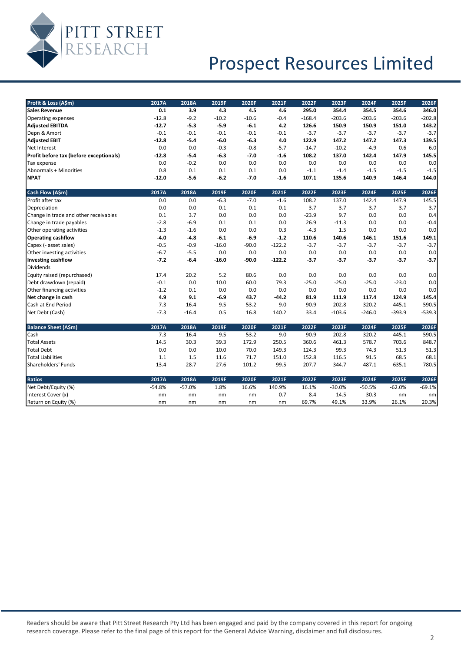

| Profit & Loss (A\$m)                    | 2017A    | 2018A    | 2019F   | 2020F   | 2021F    | 2022F    | 2023F    | 2024F    | 2025F    | 2026F    |
|-----------------------------------------|----------|----------|---------|---------|----------|----------|----------|----------|----------|----------|
| <b>Sales Revenue</b>                    | 0.1      | 3.9      | 4.3     | 4.5     | 4.6      | 295.0    | 354.4    | 354.5    | 354.6    | 346.0    |
| <b>Operating expenses</b>               | $-12.8$  | $-9.2$   | $-10.2$ | $-10.6$ | $-0.4$   | $-168.4$ | $-203.6$ | $-203.6$ | $-203.6$ | $-202.8$ |
| <b>Adjusted EBITDA</b>                  | $-12.7$  | $-5.3$   | $-5.9$  | $-6.1$  | 4.2      | 126.6    | 150.9    | 150.9    | 151.0    | 143.2    |
| Depn & Amort                            | $-0.1$   | $-0.1$   | $-0.1$  | $-0.1$  | $-0.1$   | $-3.7$   | $-3.7$   | $-3.7$   | $-3.7$   | $-3.7$   |
| <b>Adjusted EBIT</b>                    | $-12.8$  | $-5.4$   | $-6.0$  | $-6.3$  | 4.0      | 122.9    | 147.2    | 147.2    | 147.3    | 139.5    |
| Net Interest                            | 0.0      | 0.0      | $-0.3$  | $-0.8$  | $-5.7$   | $-14.7$  | $-10.2$  | $-4.9$   | 0.6      | 6.0      |
| Profit before tax (before exceptionals) | $-12.8$  | $-5.4$   | $-6.3$  | $-7.0$  | $-1.6$   | 108.2    | 137.0    | 142.4    | 147.9    | 145.5    |
| Tax expense                             | 0.0      | $-0.2$   | 0.0     | 0.0     | 0.0      | 0.0      | 0.0      | 0.0      | 0.0      | 0.0      |
| Abnormals + Minorities                  | 0.8      | 0.1      | 0.1     | 0.1     | 0.0      | $-1.1$   | $-1.4$   | $-1.5$   | $-1.5$   | $-1.5$   |
| <b>NPAT</b>                             | $-12.0$  | $-5.6$   | $-6.2$  | $-7.0$  | $-1.6$   | 107.1    | 135.6    | 140.9    | 146.4    | 144.0    |
| Cash Flow (A\$m)                        | 2017A    | 2018A    | 2019F   | 2020F   | 2021F    | 2022F    | 2023F    | 2024F    | 2025F    | 2026F    |
| Profit after tax                        | 0.0      | 0.0      | $-6.3$  | $-7.0$  | $-1.6$   | 108.2    | 137.0    | 142.4    | 147.9    | 145.5    |
| Depreciation                            | 0.0      | 0.0      | 0.1     | 0.1     | 0.1      | 3.7      | 3.7      | 3.7      | 3.7      | 3.7      |
| Change in trade and other receivables   | 0.1      | 3.7      | 0.0     | 0.0     | 0.0      | $-23.9$  | 9.7      | 0.0      | 0.0      | 0.4      |
| Change in trade payables                | $-2.8$   | $-6.9$   | 0.1     | 0.1     | 0.0      | 26.9     | $-11.3$  | 0.0      | 0.0      | $-0.4$   |
| Other operating activities              | $-1.3$   | $-1.6$   | 0.0     | 0.0     | 0.3      | $-4.3$   | 1.5      | 0.0      | 0.0      | 0.0      |
| <b>Operating cashflow</b>               | $-4.0$   | $-4.8$   | $-6.1$  | $-6.9$  | $-1.2$   | 110.6    | 140.6    | 146.1    | 151.6    | 149.1    |
| Capex (- asset sales)                   | $-0.5$   | $-0.9$   | $-16.0$ | $-90.0$ | $-122.2$ | $-3.7$   | $-3.7$   | $-3.7$   | $-3.7$   | $-3.7$   |
| Other investing activities              | $-6.7$   | $-5.5$   | 0.0     | 0.0     | 0.0      | 0.0      | 0.0      | 0.0      | 0.0      | 0.0      |
| <b>Investing cashflow</b>               | $-7.2$   | $-6.4$   | $-16.0$ | $-90.0$ | $-122.2$ | $-3.7$   | $-3.7$   | $-3.7$   | $-3.7$   | $-3.7$   |
| <b>Dividends</b>                        |          |          |         |         |          |          |          |          |          |          |
| Equity raised (repurchased)             | 17.4     | 20.2     | 5.2     | 80.6    | 0.0      | 0.0      | 0.0      | 0.0      | 0.0      | 0.0      |
| Debt drawdown (repaid)                  | $-0.1$   | 0.0      | 10.0    | 60.0    | 79.3     | $-25.0$  | $-25.0$  | $-25.0$  | $-23.0$  | 0.0      |
| Other financing activities              | $-1.2$   | 0.1      | 0.0     | 0.0     | 0.0      | 0.0      | 0.0      | 0.0      | 0.0      | 0.0      |
| Net change in cash                      | 4.9      | 9.1      | $-6.9$  | 43.7    | $-44.2$  | 81.9     | 111.9    | 117.4    | 124.9    | 145.4    |
| Cash at End Period                      | 7.3      | 16.4     | 9.5     | 53.2    | 9.0      | 90.9     | 202.8    | 320.2    | 445.1    | 590.5    |
| Net Debt (Cash)                         | $-7.3$   | $-16.4$  | 0.5     | 16.8    | 140.2    | 33.4     | $-103.6$ | $-246.0$ | $-393.9$ | $-539.3$ |
| <b>Balance Sheet (A\$m)</b>             | 2017A    | 2018A    | 2019F   | 2020F   | 2021F    | 2022F    | 2023F    | 2024F    | 2025F    | 2026F    |
| Cash                                    | 7.3      | 16.4     | 9.5     | 53.2    | 9.0      | 90.9     | 202.8    | 320.2    | 445.1    | 590.5    |
| <b>Total Assets</b>                     | 14.5     | 30.3     | 39.3    | 172.9   | 250.5    | 360.6    | 461.3    | 578.7    | 703.6    | 848.7    |
| <b>Total Debt</b>                       | 0.0      | 0.0      | 10.0    | 70.0    | 149.3    | 124.3    | 99.3     | 74.3     | 51.3     | 51.3     |
| <b>Total Liabilities</b>                | 1.1      | 1.5      | 11.6    | 71.7    | 151.0    | 152.8    | 116.5    | 91.5     | 68.5     | 68.1     |
| Shareholders' Funds                     | 13.4     | 28.7     | 27.6    | 101.2   | 99.5     | 207.7    | 344.7    | 487.1    | 635.1    | 780.5    |
| <b>Ratios</b>                           | 2017A    | 2018A    | 2019F   | 2020F   | 2021F    | 2022F    | 2023F    | 2024F    | 2025F    | 2026F    |
| Net Debt/Equity (%)                     | $-54.8%$ | $-57.0%$ | 1.8%    | 16.6%   | 140.9%   | 16.1%    | $-30.0%$ | $-50.5%$ | $-62.0%$ | $-69.1%$ |
| Interest Cover (x)                      | nm       | nm       | nm      | nm      | 0.7      | 8.4      | 14.5     | 30.3     | nm       | nm       |
| Return on Equity (%)                    | nm       | nm       | nm      | nm      | nm       | 69.7%    | 49.1%    | 33.9%    | 26.1%    | 20.3%    |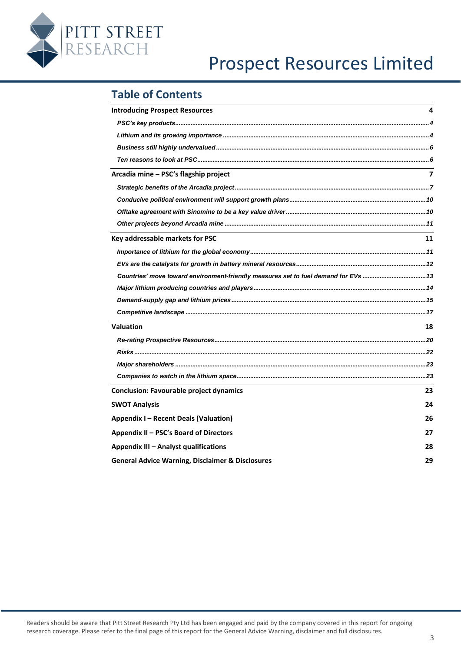

### **Table of Contents**

| <b>Introducing Prospect Resources</b>                                              | 4  |
|------------------------------------------------------------------------------------|----|
|                                                                                    |    |
|                                                                                    |    |
|                                                                                    |    |
|                                                                                    |    |
| Arcadia mine – PSC's flagship project                                              | 7  |
|                                                                                    |    |
|                                                                                    |    |
|                                                                                    |    |
|                                                                                    |    |
| Key addressable markets for PSC                                                    | 11 |
|                                                                                    |    |
|                                                                                    |    |
| Countries' move toward environment-friendly measures set to fuel demand for EVs 13 |    |
|                                                                                    |    |
|                                                                                    |    |
|                                                                                    |    |
| <b>Valuation</b>                                                                   | 18 |
|                                                                                    |    |
|                                                                                    |    |
|                                                                                    |    |
|                                                                                    |    |
| <b>Conclusion: Favourable project dynamics</b>                                     | 23 |
| <b>SWOT Analysis</b>                                                               | 24 |
| <b>Appendix I - Recent Deals (Valuation)</b>                                       | 26 |
| Appendix II - PSC's Board of Directors                                             | 27 |
| <b>Appendix III - Analyst qualifications</b>                                       | 28 |
| <b>General Advice Warning, Disclaimer &amp; Disclosures</b>                        | 29 |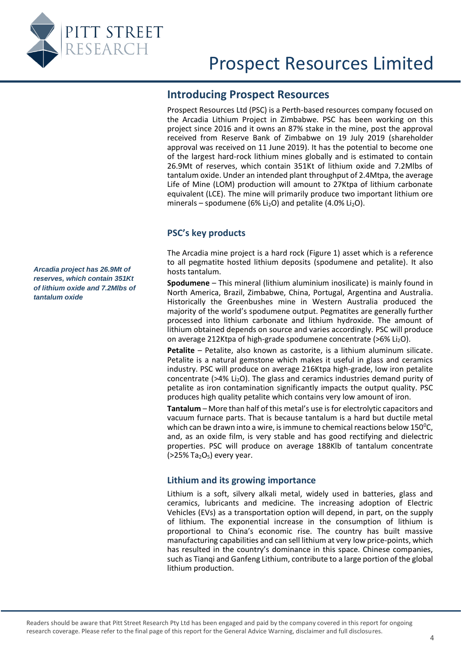<span id="page-3-0"></span>

### **Introducing Prospect Resources**

Prospect Resources Ltd (PSC) is a Perth-based resources company focused on the Arcadia Lithium Project in Zimbabwe. PSC has been working on this project since 2016 and it owns an 87% stake in the mine, post the approval received from Reserve Bank of Zimbabwe on 19 July 2019 (shareholder approval was received on 11 June 2019). It has the potential to become one of the largest hard-rock lithium mines globally and is estimated to contain 26.9Mt of reserves, which contain 351Kt of lithium oxide and 7.2Mlbs of tantalum oxide. Under an intended plant throughput of 2.4Mtpa, the average Life of Mine (LOM) production will amount to 27Ktpa of lithium carbonate equivalent (LCE). The mine will primarily produce two important lithium ore minerals – spodumene (6% Li<sub>2</sub>O) and petalite (4.0% Li<sub>2</sub>O).

### **PSC's key products**

The Arcadia mine project is a hard rock [\(Figure 1\)](#page-4-0) asset which is a reference to all pegmatite hosted lithium deposits (spodumene and petalite). It also hosts tantalum.

**Spodumene** – This mineral (lithium aluminium inosilicate) is mainly found in North America, Brazil, Zimbabwe, China, Portugal, Argentina and Australia. Historically the Greenbushes mine in Western Australia produced the majority of the world's spodumene output. Pegmatites are generally further processed into lithium carbonate and lithium hydroxide. The amount of lithium obtained depends on source and varies accordingly. PSC will produce on average 212Ktpa of high-grade spodumene concentrate ( $>6\%$  Li<sub>2</sub>O).

**Petalite** – Petalite, also known as castorite, is a lithium aluminum silicate. Petalite is a natural gemstone which makes it useful in glass and ceramics industry. PSC will produce on average 216Ktpa high-grade, low iron petalite concentrate ( $>4\%$  Li<sub>2</sub>O). The glass and ceramics industries demand purity of petalite as iron contamination significantly impacts the output quality. PSC produces high quality petalite which contains very low amount of iron.

**Tantalum** – More than half of this metal's use is for electrolytic capacitors and vacuum furnace parts. That is because tantalum is a hard but ductile metal which can be drawn into a wire, is immune to chemical reactions below  $150^{\circ}$ C, and, as an oxide film, is very stable and has good rectifying and dielectric properties. PSC will produce on average 188Klb of tantalum concentrate  $(>25\%$  Ta<sub>2</sub>O<sub>5</sub>) every year.

### <span id="page-3-2"></span>**Lithium and its growing importance**

Lithium is a soft, silvery alkali metal, widely used in batteries, glass and ceramics, lubricants and medicine. The increasing adoption of Electric Vehicles (EVs) as a transportation option will depend, in part, on the supply of lithium. The exponential increase in the consumption of lithium is proportional to China's economic rise. The country has built massive manufacturing capabilities and can sell lithium at very low price-points, which has resulted in the country's dominance in this space. Chinese companies, such as Tianqi and Ganfeng Lithium, contribute to a large portion of the global lithium production.

<span id="page-3-1"></span>*Arcadia project has 26.9Mt of reserves, which contain 351Kt of lithium oxide and 7.2Mlbs of tantalum oxide*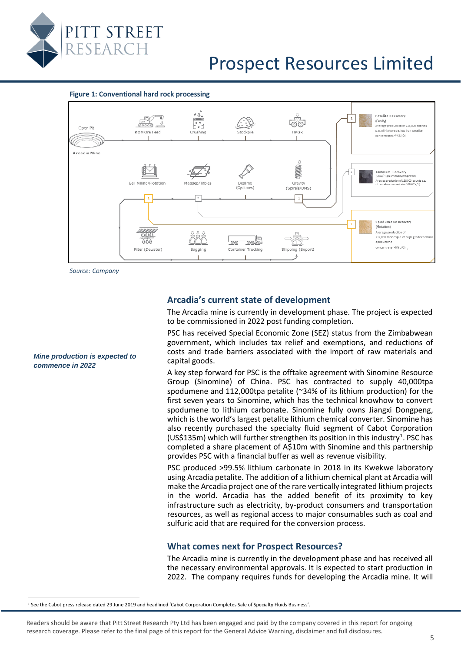

<span id="page-4-0"></span>



*Source: Company*

#### **Arcadia's current state of development**

The Arcadia mine is currently in development phase. The project is expected to be commissioned in 2022 post funding completion.

PSC has received Special Economic Zone (SEZ) status from the Zimbabwean government, which includes tax relief and exemptions, and reductions of costs and trade barriers associated with the import of raw materials and capital goods.

A key step forward for PSC is the offtake agreement with Sinomine Resource Group (Sinomine) of China. PSC has contracted to supply 40,000tpa spodumene and 112,000tpa petalite (~34% of its lithium production) for the first seven years to Sinomine, which has the technical knowhow to convert spodumene to lithium carbonate. Sinomine fully owns Jiangxi Dongpeng, which is the world's largest petalite lithium chemical converter. Sinomine has also recently purchased the specialty fluid segment of Cabot Corporation (US\$135m) which will further strengthen its position in this industry<sup>1</sup>. PSC has completed a share placement of A\$10m with Sinomine and this partnership provides PSC with a financial buffer as well as revenue visibility.

PSC produced >99.5% lithium carbonate in 2018 in its Kwekwe laboratory using Arcadia petalite. The addition of a lithium chemical plant at Arcadia will make the Arcadia project one of the rare vertically integrated lithium projects in the world. Arcadia has the added benefit of its proximity to key infrastructure such as electricity, by-product consumers and transportation resources, as well as regional access to major consumables such as coal and sulfuric acid that are required for the conversion process.

#### **What comes next for Prospect Resources?**

The Arcadia mine is currently in the development phase and has received all the necessary environmental approvals. It is expected to start production in 2022. The company requires funds for developing the Arcadia mine. It will

<sup>1</sup> See the Cabot press release dated 29 June 2019 and headlined 'Cabot Corporation Completes Sale of Specialty Fluids Business'.

Readers should be aware that Pitt Street Research Pty Ltd has been engaged and paid by the company covered in this report for ongoing research coverage. Please refer to the final page of this report for the General Advice Warning, disclaimer and full disclosures.

#### *Mine production is expected to commence in 2022*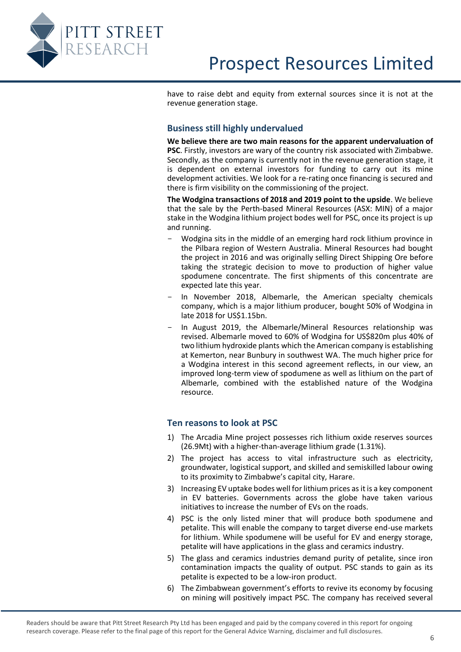<span id="page-5-0"></span>

have to raise debt and equity from external sources since it is not at the revenue generation stage.

#### **Business still highly undervalued**

**We believe there are two main reasons for the apparent undervaluation of PSC**. Firstly, investors are wary of the country risk associated with Zimbabwe. Secondly, as the company is currently not in the revenue generation stage, it is dependent on external investors for funding to carry out its mine development activities. We look for a re-rating once financing is secured and there is firm visibility on the commissioning of the project.

**The Wodgina transactions of 2018 and 2019 point to the upside**. We believe that the sale by the Perth-based Mineral Resources (ASX: MIN) of a major stake in the Wodgina lithium project bodes well for PSC, once its project is up and running.

- Wodgina sits in the middle of an emerging hard rock lithium province in the Pilbara region of Western Australia. Mineral Resources had bought the project in 2016 and was originally selling Direct Shipping Ore before taking the strategic decision to move to production of higher value spodumene concentrate. The first shipments of this concentrate are expected late this year.
- In November 2018, Albemarle, the American specialty chemicals company, which is a major lithium producer, bought 50% of Wodgina in late 2018 for US\$1.15bn.
- In August 2019, the Albemarle/Mineral Resources relationship was revised. Albemarle moved to 60% of Wodgina for US\$820m plus 40% of two lithium hydroxide plants which the American company is establishing at Kemerton, near Bunbury in southwest WA. The much higher price for a Wodgina interest in this second agreement reflects, in our view, an improved long-term view of spodumene as well as lithium on the part of Albemarle, combined with the established nature of the Wodgina resource.

#### <span id="page-5-1"></span>**Ten reasons to look at PSC**

- 1) The Arcadia Mine project possesses rich lithium oxide reserves sources (26.9Mt) with a higher-than-average lithium grade (1.31%).
- 2) The project has access to vital infrastructure such as electricity, groundwater, logistical support, and skilled and semiskilled labour owing to its proximity to Zimbabwe's capital city, Harare.
- 3) Increasing EV uptake bodes well for lithium prices as it is a key component in EV batteries. Governments across the globe have taken various initiatives to increase the number of EVs on the roads.
- 4) PSC is the only listed miner that will produce both spodumene and petalite. This will enable the company to target diverse end-use markets for lithium. While spodumene will be useful for EV and energy storage, petalite will have applications in the glass and ceramics industry.
- 5) The glass and ceramics industries demand purity of petalite, since iron contamination impacts the quality of output. PSC stands to gain as its petalite is expected to be a low-iron product.
- 6) The Zimbabwean government's efforts to revive its economy by focusing on mining will positively impact PSC. The company has received several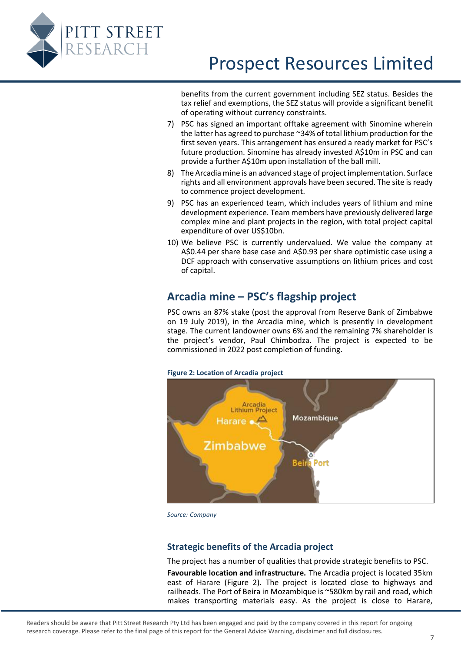

benefits from the current government including SEZ status. Besides the tax relief and exemptions, the SEZ status will provide a significant benefit of operating without currency constraints.

- 7) PSC has signed an important offtake agreement with Sinomine wherein the latter has agreed to purchase ~34% of total lithium production for the first seven years. This arrangement has ensured a ready market for PSC's future production. Sinomine has already invested A\$10m in PSC and can provide a further A\$10m upon installation of the ball mill.
- 8) The Arcadia mine is an advanced stage of project implementation. Surface rights and all environment approvals have been secured. The site is ready to commence project development.
- 9) PSC has an experienced team, which includes years of lithium and mine development experience. Team members have previously delivered large complex mine and plant projects in the region, with total project capital expenditure of over US\$10bn.
- 10) We believe PSC is currently undervalued. We value the company at A\$0.44 per share base case and A\$0.93 per share optimistic case using a DCF approach with conservative assumptions on lithium prices and cost of capital.

### <span id="page-6-0"></span>**Arcadia mine – PSC's flagship project**

PSC owns an 87% stake (post the approval from Reserve Bank of Zimbabwe on 19 July 2019), in the Arcadia mine, which is presently in development stage. The current landowner owns 6% and the remaining 7% shareholder is the project's vendor, Paul Chimbodza. The project is expected to be commissioned in 2022 post completion of funding.

#### **Figure 2: Location of Arcadia project**

<span id="page-6-2"></span>

*Source: Company*

#### <span id="page-6-1"></span>**Strategic benefits of the Arcadia project**

The project has a number of qualities that provide strategic benefits to PSC.

**Favourable location and infrastructure.** The Arcadia project is located 35km east of Harare [\(Figure 2\)](#page-6-2). The project is located close to highways and railheads. The Port of Beira in Mozambique is ~580km by rail and road, which makes transporting materials easy. As the project is close to Harare,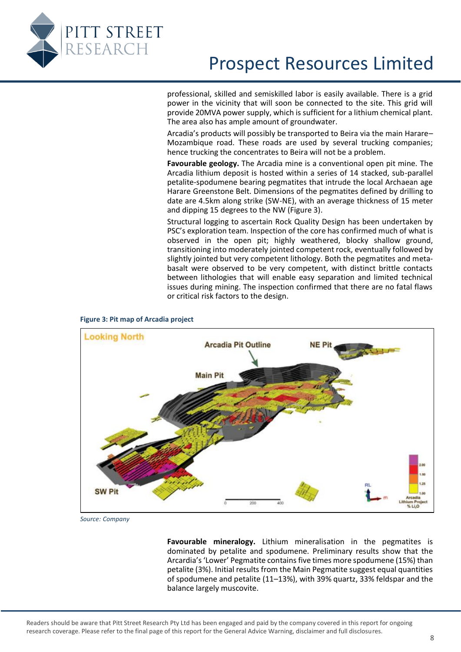

professional, skilled and semiskilled labor is easily available. There is a grid power in the vicinity that will soon be connected to the site. This grid will provide 20MVA power supply, which is sufficient for a lithium chemical plant. The area also has ample amount of groundwater.

Arcadia's products will possibly be transported to Beira via the main Harare– Mozambique road. These roads are used by several trucking companies; hence trucking the concentrates to Beira will not be a problem.

**Favourable geology.** The Arcadia mine is a conventional open pit mine. The Arcadia lithium deposit is hosted within a series of 14 stacked, sub-parallel petalite-spodumene bearing pegmatites that intrude the local Archaean age Harare Greenstone Belt. Dimensions of the pegmatites defined by drilling to date are 4.5km along strike (SW-NE), with an average thickness of 15 meter and dipping 15 degrees to the NW [\(Figure 3\)](#page-7-0).

Structural logging to ascertain Rock Quality Design has been undertaken by PSC's exploration team. Inspection of the core has confirmed much of what is observed in the open pit; highly weathered, blocky shallow ground, transitioning into moderately jointed competent rock, eventually followed by slightly jointed but very competent lithology. Both the pegmatites and metabasalt were observed to be very competent, with distinct brittle contacts between lithologies that will enable easy separation and limited technical issues during mining. The inspection confirmed that there are no fatal flaws or critical risk factors to the design.

<span id="page-7-0"></span>

#### **Figure 3: Pit map of Arcadia project**

*Source: Company*

**Favourable mineralogy.** Lithium mineralisation in the pegmatites is dominated by petalite and spodumene. Preliminary results show that the Arcardia's 'Lower' Pegmatite contains five times more spodumene (15%) than petalite (3%). Initial results from the Main Pegmatite suggest equal quantities of spodumene and petalite (11–13%), with 39% quartz, 33% feldspar and the balance largely muscovite.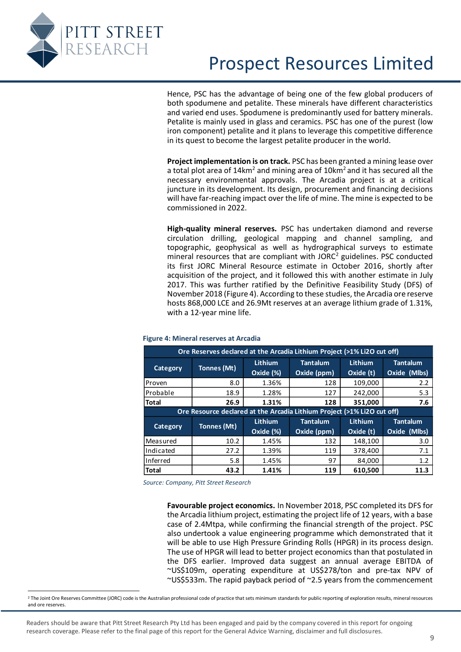

Hence, PSC has the advantage of being one of the few global producers of both spodumene and petalite. These minerals have different characteristics and varied end uses. Spodumene is predominantly used for battery minerals. Petalite is mainly used in glass and ceramics. PSC has one of the purest (low iron component) petalite and it plans to leverage this competitive difference in its quest to become the largest petalite producer in the world.

**Project implementation is on track.** PSC has been granted a mining lease over a total plot area of 14 $km^2$  and mining area of 10 $km^2$  and it has secured all the necessary environmental approvals. The Arcadia project is at a critical juncture in its development. Its design, procurement and financing decisions will have far-reaching impact over the life of mine. The mine is expected to be commissioned in 2022.

**High-quality mineral reserves.** PSC has undertaken diamond and reverse circulation drilling, geological mapping and channel sampling, and topographic, geophysical as well as hydrographical surveys to estimate mineral resources that are compliant with JORC<sup>2</sup> guidelines. PSC conducted its first JORC Mineral Resource estimate in October 2016, shortly after acquisition of the project, and it followed this with another estimate in July 2017. This was further ratified by the Definitive Feasibility Study (DFS) of November 2018 [\(Figure 4\)](#page-8-0). According to these studies, the Arcadia ore reserve hosts 868,000 LCE and 26.9Mt reserves at an average lithium grade of 1.31%, with a 12-year mine life.

<span id="page-8-0"></span>

|                 | Ore Reserves declared at the Arcadia Lithium Project (>1% Li2O cut off) |                      |                                |                             |                                 |  |  |
|-----------------|-------------------------------------------------------------------------|----------------------|--------------------------------|-----------------------------|---------------------------------|--|--|
| Category        | Tonnes (Mt)                                                             | Lithium<br>Oxide (%) | <b>Tantalum</b><br>Oxide (ppm) | <b>Lithium</b><br>Oxide (t) | <b>Tantalum</b><br>Oxide (Mlbs) |  |  |
| Proven          | 8.0                                                                     | 1.36%                | 128                            | 109,000                     | 2.2                             |  |  |
| Probable        | 18.9                                                                    | 1.28%                | 127                            | 242,000                     | 5.3                             |  |  |
| <b>Total</b>    | 26.9                                                                    | 1.31%                | 128                            | 351,000                     | 7.6                             |  |  |
|                 | Ore Resource declared at the Arcadia Lithium Project (>1% Li2O cut off) |                      |                                |                             |                                 |  |  |
|                 |                                                                         | Lithium              | <b>Tantalum</b>                | Lithium                     | <b>Tantalum</b>                 |  |  |
| <b>Category</b> | Tonnes (Mt)                                                             | Oxide (%)            | Oxide (ppm)                    | Oxide (t)                   | Oxide (Mlbs)                    |  |  |
| Measured        | 10.2                                                                    | 1.45%                | 132                            | 148,100                     | 3.0                             |  |  |
| Indicated       | 27.2                                                                    | 1.39%                | 119                            | 378,400                     | 7.1                             |  |  |
| <b>Inferred</b> | 5.8                                                                     | 1.45%                | 97                             | 84,000                      | 1.2                             |  |  |
| <b>Total</b>    | 43.2                                                                    |                      |                                |                             |                                 |  |  |
|                 | Source: Company, Pitt Street Research                                   | 1.41%                | 119                            | 610,500                     | 11.3                            |  |  |

#### **Figure 4: Mineral reserves at Arcadia**

Readers should be aware that Pitt Street Research Pty Ltd has been engaged and paid by the company covered in this report for ongoing research coverage. Please refer to the final page of this report for the General Advice Warning, disclaimer and full disclosures.

<sup>&</sup>lt;sup>2</sup> The Joint Ore Reserves Committee (JORC) code is the Australian professional code of practice that sets minimum standards for public reporting of exploration results, mineral resources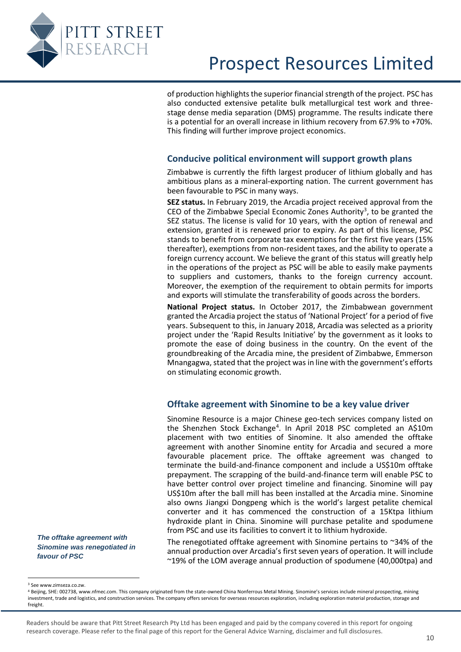

of production highlights the superior financial strength of the project. PSC has also conducted extensive petalite bulk metallurgical test work and threestage dense media separation (DMS) programme. The results indicate there is a potential for an overall increase in lithium recovery from 67.9% to +70%. This finding will further improve project economics.

#### **Conducive political environment will support growth plans**

<span id="page-9-0"></span>Zimbabwe is currently the fifth largest producer of lithium globally and has ambitious plans as a mineral-exporting nation. The current government has been favourable to PSC in many ways.

**SEZ status.** In February 2019, the Arcadia project received approval from the CEO of the Zimbabwe Special Economic Zones Authority<sup>3</sup>, to be granted the SEZ status. The license is valid for 10 years, with the option of renewal and extension, granted it is renewed prior to expiry. As part of this license, PSC stands to benefit from corporate tax exemptions for the first five years (15% thereafter), exemptions from non-resident taxes, and the ability to operate a foreign currency account. We believe the grant of this status will greatly help in the operations of the project as PSC will be able to easily make payments to suppliers and customers, thanks to the foreign currency account. Moreover, the exemption of the requirement to obtain permits for imports and exports will stimulate the transferability of goods across the borders.

**National Project status.** In October 2017, the Zimbabwean government granted the Arcadia project the status of 'National Project' for a period of five years. Subsequent to this, in January 2018, Arcadia was selected as a priority project under the 'Rapid Results Initiative' by the government as it looks to promote the ease of doing business in the country. On the event of the groundbreaking of the Arcadia mine, the president of Zimbabwe, Emmerson Mnangagwa, stated that the project was in line with the government's efforts on stimulating economic growth.

#### **Offtake agreement with Sinomine to be a key value driver**

Sinomine Resource is a major Chinese geo-tech services company listed on the Shenzhen Stock Exchange<sup>4</sup>. In April 2018 PSC completed an A\$10m placement with two entities of Sinomine. It also amended the offtake agreement with another Sinomine entity for Arcadia and secured a more favourable placement price. The offtake agreement was changed to terminate the build-and-finance component and include a US\$10m offtake prepayment. The scrapping of the build-and-finance term will enable PSC to have better control over project timeline and financing. Sinomine will pay US\$10m after the ball mill has been installed at the Arcadia mine. Sinomine also owns Jiangxi Dongpeng which is the world's largest petalite chemical converter and it has commenced the construction of a 15Ktpa lithium hydroxide plant in China. Sinomine will purchase petalite and spodumene from PSC and use its facilities to convert it to lithium hydroxide.

The renegotiated offtake agreement with Sinomine pertains to  $\sim$ 34% of the annual production over Arcadia's first seven years of operation. It will include ~19% of the LOM average annual production of spodumene (40,000tpa) and

<span id="page-9-1"></span>*The offtake agreement with Sinomine was renegotiated in favour of PSC*

<sup>3</sup> See www.zimseza.co.zw.

Readers should be aware that Pitt Street Research Pty Ltd has been engaged and paid by the company covered in this report for ongoing research coverage. Please refer to the final page of this report for the General Advice Warning, disclaimer and full disclosures.

<sup>4</sup> Beijing, SHE: 002738[, www.nfmec.com.](http://www.nfmec.com/) This company originated from the state-owned China Nonferrous Metal Mining. Sinomine's services include mineral prospecting, mining investment, trade and logistics, and construction services. The company offers services for overseas resources exploration, including exploration material production, storage and freight.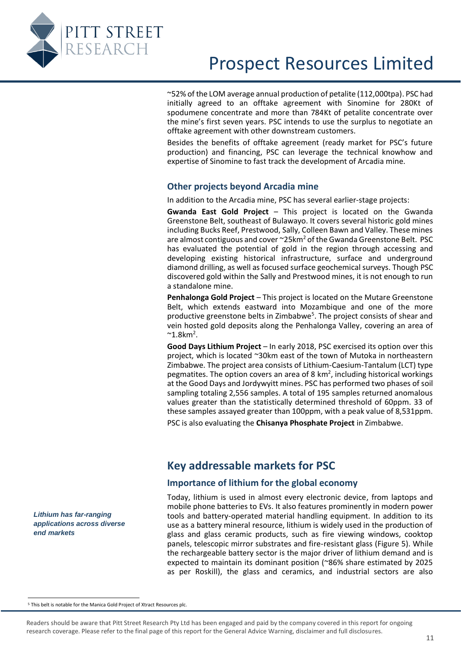

~52% of the LOM average annual production of petalite (112,000tpa). PSC had initially agreed to an offtake agreement with Sinomine for 280Kt of spodumene concentrate and more than 784Kt of petalite concentrate over the mine's first seven years. PSC intends to use the surplus to negotiate an offtake agreement with other downstream customers.

Besides the benefits of offtake agreement (ready market for PSC's future production) and financing, PSC can leverage the technical knowhow and expertise of Sinomine to fast track the development of Arcadia mine.

#### <span id="page-10-0"></span>**Other projects beyond Arcadia mine**

In addition to the Arcadia mine, PSC has several earlier-stage projects:

**Gwanda East Gold Project** – This project is located on the Gwanda Greenstone Belt, southeast of Bulawayo. It covers several historic gold mines including Bucks Reef, Prestwood, Sally, Colleen Bawn and Valley. These mines are almost contiguous and cover  $\sim$ 25km<sup>2</sup> of the Gwanda Greenstone Belt. PSC has evaluated the potential of gold in the region through accessing and developing existing historical infrastructure, surface and underground diamond drilling, as well as focused surface geochemical surveys. Though PSC discovered gold within the Sally and Prestwood mines, it is not enough to run a standalone mine.

**Penhalonga Gold Project** – This project is located on the Mutare Greenstone Belt, which extends eastward into Mozambique and one of the more productive greenstone belts in Zimbabwe<sup>5</sup>. The project consists of shear and vein hosted gold deposits along the Penhalonga Valley, covering an area of  $^{\sim}$ 1.8km<sup>2</sup>.

**Good Days Lithium Project** – In early 2018, PSC exercised its option over this project, which is located ~30km east of the town of Mutoka in northeastern Zimbabwe. The project area consists of Lithium-Caesium-Tantalum (LCT) type pegmatites. The option covers an area of 8  $km<sup>2</sup>$ , including historical workings at the Good Days and Jordywyitt mines. PSC has performed two phases of soil sampling totaling 2,556 samples. A total of 195 samples returned anomalous values greater than the statistically determined threshold of 60ppm. 33 of these samples assayed greater than 100ppm, with a peak value of 8,531ppm.

PSC is also evaluating the **Chisanya Phosphate Project** in Zimbabwe.

### **Key addressable markets for PSC**

#### **Importance of lithium for the global economy**

Today, lithium is used in almost every electronic device, from laptops and mobile phone batteries to EVs. It also features prominently in modern power tools and battery-operated material handling equipment. In addition to its use as a battery mineral resource, lithium is widely used in the production of glass and glass ceramic products, such as fire viewing windows, cooktop panels, telescopic mirror substrates and fire-resistant glass [\(Figure 5\)](#page-11-1). While the rechargeable battery sector is the major driver of lithium demand and is expected to maintain its dominant position (~86% share estimated by 2025 as per Roskill), the glass and ceramics, and industrial sectors are also

<span id="page-10-2"></span><span id="page-10-1"></span>*Lithium has far-ranging applications across diverse end markets*

<sup>5</sup> This belt is notable for the Manica Gold Project of Xtract Resources plc.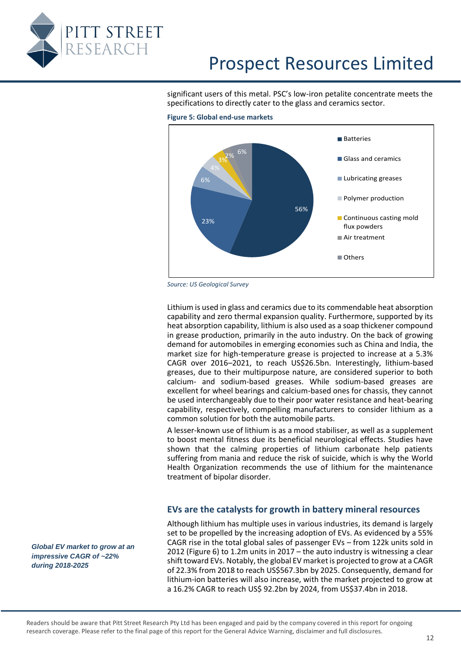<span id="page-11-1"></span>

significant users of this metal. PSC's low-iron petalite concentrate meets the specifications to directly cater to the glass and ceramics sector.



**Figure 5: Global end-use markets**

Lithium is used in glass and ceramics due to its commendable heat absorption capability and zero thermal expansion quality. Furthermore, supported by its heat absorption capability, lithium is also used as a soap thickener compound in grease production, primarily in the auto industry. On the back of growing demand for automobiles in emerging economies such as China and India, the market size for high-temperature grease is projected to increase at a 5.3% CAGR over 2016–2021, to reach US\$26.5bn. Interestingly, lithium-based greases, due to their multipurpose nature, are considered superior to both calcium- and sodium-based greases. While sodium-based greases are excellent for wheel bearings and calcium-based ones for chassis, they cannot be used interchangeably due to their poor water resistance and heat-bearing capability, respectively, compelling manufacturers to consider lithium as a common solution for both the automobile parts.

A lesser-known use of lithium is as a mood stabiliser, as well as a supplement to boost mental fitness due its beneficial neurological effects. Studies have shown that the calming properties of lithium carbonate help patients suffering from mania and reduce the risk of suicide, which is why the World Health Organization recommends the use of lithium for the maintenance treatment of bipolar disorder.

#### **EVs are the catalysts for growth in battery mineral resources**

Although lithium has multiple uses in various industries, its demand is largely set to be propelled by the increasing adoption of EVs. As evidenced by a 55% CAGR rise in the total global sales of passenger EVs – from 122k units sold in 2012 [\(Figure 6\)](#page-12-1) to 1.2m units in 2017 – the auto industry is witnessing a clear shift toward EVs. Notably, the global EV market is projected to grow at a CAGR of 22.3% from 2018 to reach US\$567.3bn by 2025. Consequently, demand for lithium-ion batteries will also increase, with the market projected to grow at a 16.2% CAGR to reach US\$ 92.2bn by 2024, from US\$37.4bn in 2018.

<span id="page-11-0"></span>*Global EV market to grow at an impressive CAGR of ~22% during 2018-2025*

*Source: US Geological Survey*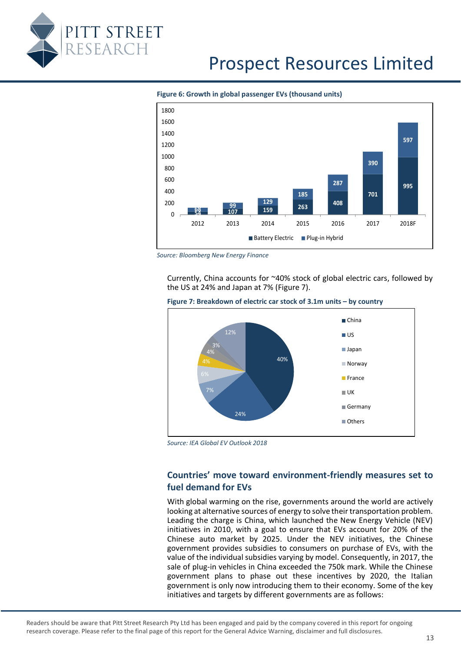<span id="page-12-1"></span>

**Figure 6: Growth in global passenger EVs (thousand units)**



<span id="page-12-2"></span>*Source: Bloomberg New Energy Finance*

Currently, China accounts for ~40% stock of global electric cars, followed by the US at 24% and Japan at 7% [\(Figure 7\)](#page-12-2).



**Figure 7: Breakdown of electric car stock of 3.1m units – by country** 

*Source: IEA Global EV Outlook 2018*

### <span id="page-12-0"></span>**Countries' move toward environment-friendly measures set to fuel demand for EVs**

With global warming on the rise, governments around the world are actively looking at alternative sources of energy to solve their transportation problem. Leading the charge is China, which launched the New Energy Vehicle (NEV) initiatives in 2010, with a goal to ensure that EVs account for 20% of the Chinese auto market by 2025. Under the NEV initiatives, the Chinese government provides subsidies to consumers on purchase of EVs, with the value of the individual subsidies varying by model. Consequently, in 2017, the sale of plug-in vehicles in China exceeded the 750k mark. While the Chinese government plans to phase out these incentives by 2020, the Italian government is only now introducing them to their economy. Some of the key initiatives and targets by different governments are as follows: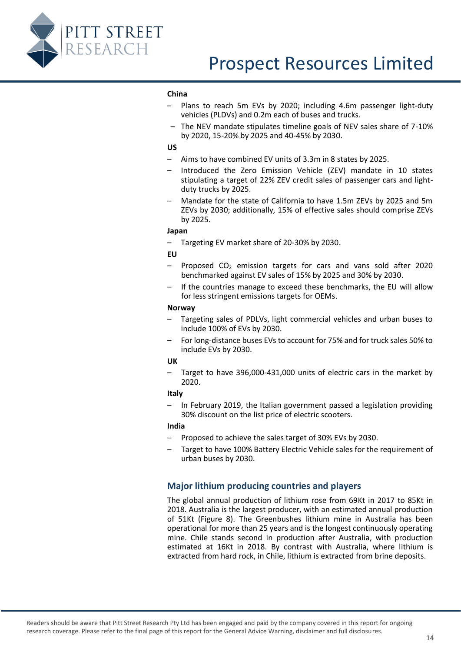

#### **China**

- Plans to reach 5m EVs by 2020; including 4.6m passenger light-duty vehicles (PLDVs) and 0.2m each of buses and trucks.
- The NEV mandate stipulates timeline goals of NEV sales share of 7-10% by 2020, 15-20% by 2025 and 40-45% by 2030.

#### **US**

- Aims to have combined EV units of 3.3m in 8 states by 2025.
- Introduced the Zero Emission Vehicle (ZEV) mandate in 10 states stipulating a target of 22% ZEV credit sales of passenger cars and lightduty trucks by 2025.
- Mandate for the state of California to have 1.5m ZEVs by 2025 and 5m ZEVs by 2030; additionally, 15% of effective sales should comprise ZEVs by 2025.

#### **Japan**

– Targeting EV market share of 20-30% by 2030.

#### **EU**

- Proposed  $CO<sub>2</sub>$  emission targets for cars and vans sold after 2020 benchmarked against EV sales of 15% by 2025 and 30% by 2030.
- If the countries manage to exceed these benchmarks, the EU will allow for less stringent emissions targets for OEMs.

#### **Norway**

- Targeting sales of PDLVs, light commercial vehicles and urban buses to include 100% of EVs by 2030.
- For long-distance buses EVs to account for 75% and for truck sales 50% to include EVs by 2030.

#### **UK**

– Target to have 396,000-431,000 units of electric cars in the market by 2020.

#### **Italy**

– In February 2019, the Italian government passed a legislation providing 30% discount on the list price of electric scooters.

#### **India**

- Proposed to achieve the sales target of 30% EVs by 2030.
- Target to have 100% Battery Electric Vehicle sales for the requirement of urban buses by 2030.

#### <span id="page-13-0"></span>**Major lithium producing countries and players**

The global annual production of lithium rose from 69Kt in 2017 to 85Kt in 2018. Australia is the largest producer, with an estimated annual production of 51Kt [\(Figure 8\)](#page-14-1). The Greenbushes lithium mine in Australia has been operational for more than 25 years and is the longest continuously operating mine. Chile stands second in production after Australia, with production estimated at 16Kt in 2018. By contrast with Australia, where lithium is extracted from hard rock, in Chile, lithium is extracted from brine deposits.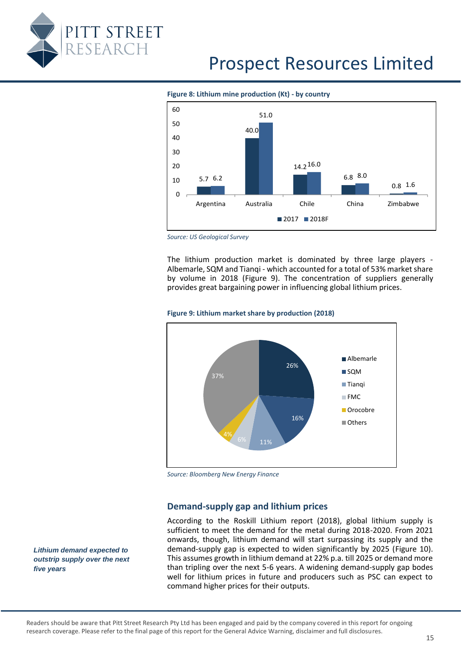<span id="page-14-1"></span>

#### **Figure 8: Lithium mine production (Kt) - by country**



*Source: US Geological Survey*

The lithium production market is dominated by three large players - Albemarle, SQM and Tianqi - which accounted for a total of 53% market share by volume in 2018 [\(Figure 9\)](#page-14-2). The concentration of suppliers generally provides great bargaining power in influencing global lithium prices.

<span id="page-14-2"></span>



*Source: Bloomberg New Energy Finance*

#### **Demand-supply gap and lithium prices**

According to the Roskill Lithium report (2018), global lithium supply is sufficient to meet the demand for the metal during 2018-2020. From 2021 onwards, though, lithium demand will start surpassing its supply and the demand-supply gap is expected to widen significantly by 2025 [\(Figure 10\)](#page-15-0). This assumes growth in lithium demand at 22% p.a. till 2025 or demand more than tripling over the next 5-6 years. A widening demand-supply gap bodes well for lithium prices in future and producers such as PSC can expect to command higher prices for their outputs.

<span id="page-14-0"></span>*Lithium demand expected to outstrip supply over the next five years*

Readers should be aware that Pitt Street Research Pty Ltd has been engaged and paid by the company covered in this report for ongoing research coverage. Please refer to the final page of this report for the General Advice Warning, disclaimer and full disclosures.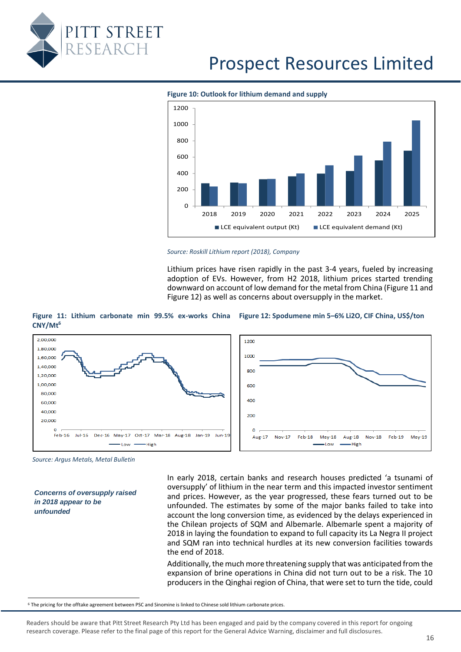<span id="page-15-0"></span>



**Figure 10: Outlook for lithium demand and supply**



<span id="page-15-2"></span>Lithium prices have risen rapidly in the past 3-4 years, fueled by increasing adoption of EVs. However, from H2 2018, lithium prices started trending downward on account of low demand for the metal from China [\(Figure 11](#page-15-1) and [Figure 12\)](#page-15-2) as well as concerns about oversupply in the market.

<span id="page-15-1"></span>



*Source: Argus Metals, Metal Bulletin*

*Concerns of oversupply raised in 2018 appear to be unfounded*

In early 2018, certain banks and research houses predicted 'a tsunami of oversupply' of lithium in the near term and this impacted investor sentiment and prices. However, as the year progressed, these fears turned out to be unfounded. The estimates by some of the major banks failed to take into account the long conversion time, as evidenced by the delays experienced in the Chilean projects of SQM and Albemarle. Albemarle spent a majority of 2018 in laying the foundation to expand to full capacity its La Negra II project and SQM ran into technical hurdles at its new conversion facilities towards the end of 2018.

Additionally, the much more threatening supply that was anticipated from the expansion of brine operations in China did not turn out to be a risk. The 10 producers in the Qinghai region of China, that were set to turn the tide, could

<sup>6</sup> The pricing for the offtake agreement between PSC and Sinomine is linked to Chinese sold lithium carbonate prices.

Readers should be aware that Pitt Street Research Pty Ltd has been engaged and paid by the company covered in this report for ongoing research coverage. Please refer to the final page of this report for the General Advice Warning, disclaimer and full disclosures.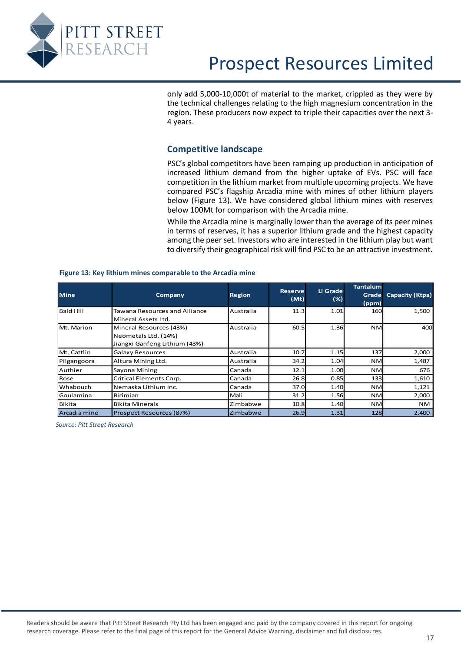<span id="page-16-0"></span>

only add 5,000-10,000t of material to the market, crippled as they were by the technical challenges relating to the high magnesium concentration in the region. These producers now expect to triple their capacities over the next 3- 4 years.

#### **Competitive landscape**

PSC's global competitors have been ramping up production in anticipation of increased lithium demand from the higher uptake of EVs. PSC will face competition in the lithium market from multiple upcoming projects. We have compared PSC's flagship Arcadia mine with mines of other lithium players below [\(Figure 13\)](#page-16-1). We have considered global lithium mines with reserves below 100Mt for comparison with the Arcadia mine.

While the Arcadia mine is marginally lower than the average of its peer mines in terms of reserves, it has a superior lithium grade and the highest capacity among the peer set. Investors who are interested in the lithium play but want to diversify their geographical risk will find PSC to be an attractive investment.

| <b>Mine</b>      | Company                                                                          | <b>Region</b> | <b>Reserve</b><br>(Mt) | Li Grade<br>(%) | <b>Tantalum</b><br>Grade<br>(ppm) | <b>Capacity (Ktpa)</b> |
|------------------|----------------------------------------------------------------------------------|---------------|------------------------|-----------------|-----------------------------------|------------------------|
| <b>Bald Hill</b> | Tawana Resources and Alliance<br>Mineral Assets Ltd.                             | Australia     | 11.3                   | 1.01            | 160                               | 1,500                  |
| Mt. Marion       | Mineral Resources (43%)<br>Neometals Ltd. (14%)<br>Jiangxi Ganfeng Lithium (43%) | Australia     | 60.5                   | 1.36            | <b>NM</b>                         | 400                    |
| Mt. Cattlin      | Galaxy Resources                                                                 | Australia     | 10.7                   | 1.15            | 137                               | 2,000                  |
| Pilgangoora      | Altura Mining Ltd.                                                               | Australia     | 34.2                   | 1.04            | <b>NM</b>                         | 1,487                  |
| lAuthier         | Sayona Mining                                                                    | Canada        | 12.1                   | 1.00            | <b>NM</b>                         | 676                    |
| Rose             | Critical Elements Corp.                                                          | Canada        | 26.8                   | 0.85            | 133                               | 1,610                  |
| <b>Whabouch</b>  | Nemaska Lithium Inc.                                                             | Canada        | 37.0                   | 1.40            | <b>NM</b>                         | 1,121                  |
| l Goulamina      | Birimian                                                                         | Mali          | 31.2                   | 1.56            | <b>NM</b>                         | 2,000                  |
| l Bi ki ta       | <b>Bikita Minerals</b>                                                           | Zimbabwe      | 10.8                   | 1.40            | <b>NM</b>                         | NM.                    |
| Arcadia mine     | Prospect Resources (87%)                                                         | Zimbabwe      | 26.9                   | 1.31            | 128                               | 2,400                  |

#### <span id="page-16-1"></span>**Figure 13: Key lithium mines comparable to the Arcadia mine**

*Source: Pitt Street Research*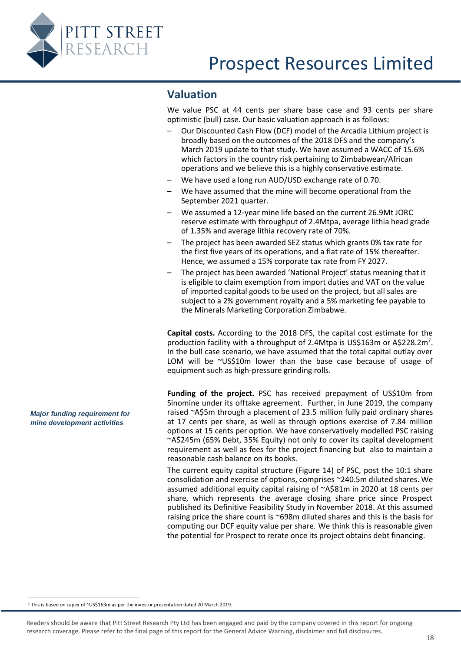<span id="page-17-0"></span>

### **Valuation**

We value PSC at 44 cents per share base case and 93 cents per share optimistic (bull) case. Our basic valuation approach is as follows:

- Our Discounted Cash Flow (DCF) model of the Arcadia Lithium project is broadly based on the outcomes of the 2018 DFS and the company's March 2019 update to that study. We have assumed a WACC of 15.6% which factors in the country risk pertaining to Zimbabwean/African operations and we believe this is a highly conservative estimate.
- We have used a long run AUD/USD exchange rate of 0.70.
- We have assumed that the mine will become operational from the September 2021 quarter.
- We assumed a 12-year mine life based on the current 26.9Mt JORC reserve estimate with throughput of 2.4Mtpa, average lithia head grade of 1.35% and average lithia recovery rate of 70%.
- The project has been awarded SEZ status which grants 0% tax rate for the first five years of its operations, and a flat rate of 15% thereafter. Hence, we assumed a 15% corporate tax rate from FY 2027.
- The project has been awarded 'National Project' status meaning that it is eligible to claim exemption from import duties and VAT on the value of imported capital goods to be used on the project, but all sales are subject to a 2% government royalty and a 5% marketing fee payable to the Minerals Marketing Corporation Zimbabwe.

**Capital costs.** According to the 2018 DFS, the capital cost estimate for the production facility with a throughput of 2.4Mtpa is US\$163m or A\$228.2m<sup>7</sup>. In the bull case scenario, we have assumed that the total capital outlay over LOM will be ~US\$10m lower than the base case because of usage of equipment such as high-pressure grinding rolls.

Funding of the project. PSC has received prepayment of US\$10m from Sinomine under its offtake agreement. Further, in June 2019, the company raised ~A\$5m through a placement of 23.5 million fully paid ordinary shares at 17 cents per share, as well as through options exercise of 7.84 million options at 15 cents per option. We have conservatively modelled PSC raising ~A\$245m (65% Debt, 35% Equity) not only to cover its capital development requirement as well as fees for the project financing but also to maintain a reasonable cash balance on its books.

The current equity capital structure [\(Figure 14\)](#page-18-0) of PSC, post the 10:1 share consolidation and exercise of options, comprises ~240.5m diluted shares. We assumed additional equity capital raising of ~A\$81m in 2020 at 18 cents per share, which represents the average closing share price since Prospect published its Definitive Feasibility Study in November 2018. At this assumed raising price the share count is ~698m diluted shares and this is the basis for computing our DCF equity value per share. We think this is reasonable given the potential for Prospect to rerate once its project obtains debt financing.

*Major funding requirement for mine development activities*

<sup>7</sup> This is based on capex of ~US\$163m as per the investor presentation dated 20 March 2019.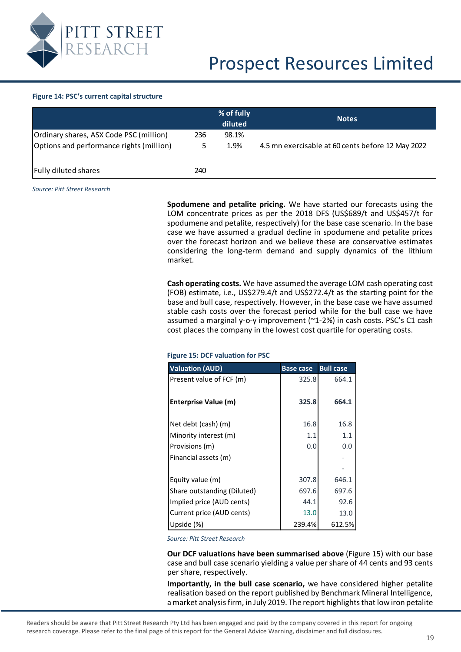

#### <span id="page-18-0"></span>**Figure 14: PSC's current capital structure**

|                                                                                     |     | % of fully<br>diluted | <b>Notes</b>                                      |
|-------------------------------------------------------------------------------------|-----|-----------------------|---------------------------------------------------|
| Ordinary shares, ASX Code PSC (million)<br>Options and performance rights (million) | 236 | 98.1%<br>1.9%         | 4.5 mn exercisable at 60 cents before 12 May 2022 |
| <b>Fully diluted shares</b>                                                         | 240 |                       |                                                   |

*Source: Pitt Street Research*

#### <span id="page-18-1"></span>**Figure 15: DCF valuation for PSC**

|                                                                                                                                                                                                                                                                                                                                                                                                                                                                                    | % of fully                              | <b>Notes</b> |                  |                  |                                                                                                                                                            |  |  |  |  |
|------------------------------------------------------------------------------------------------------------------------------------------------------------------------------------------------------------------------------------------------------------------------------------------------------------------------------------------------------------------------------------------------------------------------------------------------------------------------------------|-----------------------------------------|--------------|------------------|------------------|------------------------------------------------------------------------------------------------------------------------------------------------------------|--|--|--|--|
|                                                                                                                                                                                                                                                                                                                                                                                                                                                                                    | diluted                                 |              |                  |                  |                                                                                                                                                            |  |  |  |  |
| 236                                                                                                                                                                                                                                                                                                                                                                                                                                                                                | 98.1%                                   |              |                  |                  |                                                                                                                                                            |  |  |  |  |
| ۱)<br>5                                                                                                                                                                                                                                                                                                                                                                                                                                                                            | 1.9%                                    |              |                  |                  | 4.5 mn exercisable at 60 cents before 12 May 2022                                                                                                          |  |  |  |  |
|                                                                                                                                                                                                                                                                                                                                                                                                                                                                                    |                                         |              |                  |                  |                                                                                                                                                            |  |  |  |  |
| 240                                                                                                                                                                                                                                                                                                                                                                                                                                                                                |                                         |              |                  |                  |                                                                                                                                                            |  |  |  |  |
|                                                                                                                                                                                                                                                                                                                                                                                                                                                                                    |                                         |              |                  |                  |                                                                                                                                                            |  |  |  |  |
|                                                                                                                                                                                                                                                                                                                                                                                                                                                                                    |                                         |              |                  |                  |                                                                                                                                                            |  |  |  |  |
| Spodumene and petalite pricing. We have started our forecasts using the<br>LOM concentrate prices as per the 2018 DFS (US\$689/t and US\$457/t for<br>spodumene and petalite, respectively) for the base case scenario. In the base<br>case we have assumed a gradual decline in spodumene and petalite prices<br>over the forecast horizon and we believe these are conservative estimates<br>considering the long-term demand and supply dynamics of the lithium<br>market.      |                                         |              |                  |                  |                                                                                                                                                            |  |  |  |  |
| Cash operating costs. We have assumed the average LOM cash operating cost<br>(FOB) estimate, i.e., US\$279.4/t and US\$272.4/t as the starting point for the<br>base and bull case, respectively. However, in the base case we have assumed<br>stable cash costs over the forecast period while for the bull case we have<br>assumed a marginal y-o-y improvement (~1-2%) in cash costs. PSC's C1 cash<br>cost places the company in the lowest cost quartile for operating costs. |                                         |              |                  |                  |                                                                                                                                                            |  |  |  |  |
|                                                                                                                                                                                                                                                                                                                                                                                                                                                                                    | <b>Figure 15: DCF valuation for PSC</b> |              |                  |                  |                                                                                                                                                            |  |  |  |  |
| <b>Valuation (AUD)</b>                                                                                                                                                                                                                                                                                                                                                                                                                                                             |                                         |              | <b>Base case</b> | <b>Bull case</b> |                                                                                                                                                            |  |  |  |  |
|                                                                                                                                                                                                                                                                                                                                                                                                                                                                                    | Present value of FCF (m)                |              | 325.8            | 664.1            |                                                                                                                                                            |  |  |  |  |
|                                                                                                                                                                                                                                                                                                                                                                                                                                                                                    |                                         |              |                  |                  |                                                                                                                                                            |  |  |  |  |
| <b>Enterprise Value (m)</b>                                                                                                                                                                                                                                                                                                                                                                                                                                                        |                                         |              | 325.8            | 664.1            |                                                                                                                                                            |  |  |  |  |
|                                                                                                                                                                                                                                                                                                                                                                                                                                                                                    |                                         |              |                  |                  |                                                                                                                                                            |  |  |  |  |
| Net debt (cash) (m)                                                                                                                                                                                                                                                                                                                                                                                                                                                                |                                         |              | 16.8             | 16.8             |                                                                                                                                                            |  |  |  |  |
| Minority interest (m)                                                                                                                                                                                                                                                                                                                                                                                                                                                              |                                         |              | 1.1              | 1.1              |                                                                                                                                                            |  |  |  |  |
| Provisions (m)                                                                                                                                                                                                                                                                                                                                                                                                                                                                     |                                         |              | 0.0              | 0.0              |                                                                                                                                                            |  |  |  |  |
| Financial assets (m)                                                                                                                                                                                                                                                                                                                                                                                                                                                               |                                         |              |                  |                  |                                                                                                                                                            |  |  |  |  |
|                                                                                                                                                                                                                                                                                                                                                                                                                                                                                    |                                         |              |                  |                  |                                                                                                                                                            |  |  |  |  |
| Equity value (m)                                                                                                                                                                                                                                                                                                                                                                                                                                                                   |                                         |              | 307.8            | 646.1            |                                                                                                                                                            |  |  |  |  |
|                                                                                                                                                                                                                                                                                                                                                                                                                                                                                    | Share outstanding (Diluted)             |              | 697.6            | 697.6            |                                                                                                                                                            |  |  |  |  |
|                                                                                                                                                                                                                                                                                                                                                                                                                                                                                    | Implied price (AUD cents)               |              | 44.1             | 92.6             |                                                                                                                                                            |  |  |  |  |
|                                                                                                                                                                                                                                                                                                                                                                                                                                                                                    | Current price (AUD cents)               |              | 13.0             | 13.0             |                                                                                                                                                            |  |  |  |  |
| Upside (%)                                                                                                                                                                                                                                                                                                                                                                                                                                                                         |                                         |              | 239.4%           | 612.5%           |                                                                                                                                                            |  |  |  |  |
|                                                                                                                                                                                                                                                                                                                                                                                                                                                                                    |                                         |              |                  |                  |                                                                                                                                                            |  |  |  |  |
| <b>Source: Pitt Street Research</b>                                                                                                                                                                                                                                                                                                                                                                                                                                                |                                         |              |                  |                  |                                                                                                                                                            |  |  |  |  |
|                                                                                                                                                                                                                                                                                                                                                                                                                                                                                    |                                         |              |                  |                  | Our DCF valuations have been summarised above (Figure 15) with our base<br>case and bull case scenario yielding a value per share of 44 cents and 93 cents |  |  |  |  |
| per share, respectively.<br>Importantly, in the bull case scenario, we have considered higher petalite<br>realisation based on the report published by Benchmark Mineral Intelligence,<br>a market analysis firm, in July 2019. The report highlights that low iron petalite                                                                                                                                                                                                       |                                         |              |                  |                  |                                                                                                                                                            |  |  |  |  |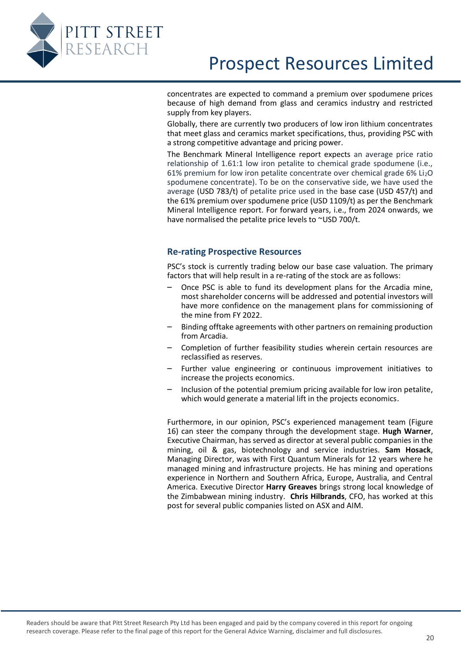

concentrates are expected to command a premium over spodumene prices because of high demand from glass and ceramics industry and restricted supply from key players.

Globally, there are currently two producers of low iron lithium concentrates that meet glass and ceramics market specifications, thus, providing PSC with a strong competitive advantage and pricing power.

The Benchmark Mineral Intelligence report expects an average price ratio relationship of 1.61:1 low iron petalite to chemical grade spodumene (i.e., 61% premium for low iron petalite concentrate over chemical grade  $6\%$  Li<sub>2</sub>O spodumene concentrate). To be on the conservative side, we have used the average (USD 783/t) of petalite price used in the base case (USD 457/t) and the 61% premium over spodumene price (USD 1109/t) as per the Benchmark Mineral Intelligence report. For forward years, i.e., from 2024 onwards, we have normalised the petalite price levels to ~USD 700/t.

#### <span id="page-19-0"></span>**Re-rating Prospective Resources**

PSC's stock is currently trading below our base case valuation. The primary factors that will help result in a re-rating of the stock are as follows:

- Once PSC is able to fund its development plans for the Arcadia mine, most shareholder concerns will be addressed and potential investors will have more confidence on the management plans for commissioning of the mine from FY 2022.
- Binding offtake agreements with other partners on remaining production from Arcadia.
- Completion of further feasibility studies wherein certain resources are reclassified as reserves.
- Further value engineering or continuous improvement initiatives to increase the projects economics.
- Inclusion of the potential premium pricing available for low iron petalite, which would generate a material lift in the projects economics.

Furthermore, in our opinion, PSC's experienced management team (Figure 16) can steer the company through the development stage. **Hugh Warner**, Executive Chairman, has served as director at several public companies in the mining, oil & gas, biotechnology and service industries. **Sam Hosack**, Managing Director, was with First Quantum Minerals for 12 years where he managed mining and infrastructure projects. He has mining and operations experience in Northern and Southern Africa, Europe, Australia, and Central America. Executive Director **Harry Greaves** brings strong local knowledge of the Zimbabwean mining industry. **Chris Hilbrands**, CFO, has worked at this post for several public companies listed on ASX and AIM.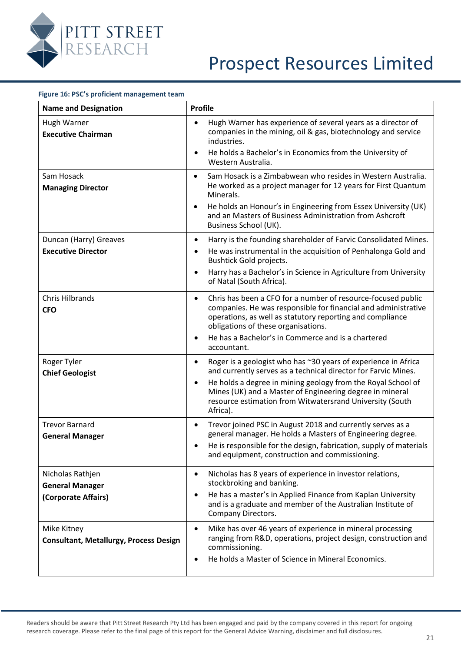

| Figure 16: PSC's proficient management team                       |                                                                                                                                                                                                                                                                                                                                                                |
|-------------------------------------------------------------------|----------------------------------------------------------------------------------------------------------------------------------------------------------------------------------------------------------------------------------------------------------------------------------------------------------------------------------------------------------------|
| <b>Name and Designation</b>                                       | <b>Profile</b>                                                                                                                                                                                                                                                                                                                                                 |
| Hugh Warner<br><b>Executive Chairman</b>                          | Hugh Warner has experience of several years as a director of<br>companies in the mining, oil & gas, biotechnology and service<br>industries.<br>He holds a Bachelor's in Economics from the University of<br>Western Australia.                                                                                                                                |
| Sam Hosack<br><b>Managing Director</b>                            | Sam Hosack is a Zimbabwean who resides in Western Australia.<br>$\bullet$<br>He worked as a project manager for 12 years for First Quantum<br>Minerals.<br>He holds an Honour's in Engineering from Essex University (UK)<br>$\bullet$<br>and an Masters of Business Administration from Ashcroft<br>Business School (UK).                                     |
| Duncan (Harry) Greaves<br><b>Executive Director</b>               | Harry is the founding shareholder of Farvic Consolidated Mines.<br>$\bullet$<br>He was instrumental in the acquisition of Penhalonga Gold and<br>Bushtick Gold projects.<br>Harry has a Bachelor's in Science in Agriculture from University<br>$\bullet$<br>of Natal (South Africa).                                                                          |
| <b>Chris Hilbrands</b><br><b>CFO</b>                              | Chris has been a CFO for a number of resource-focused public<br>$\bullet$<br>companies. He was responsible for financial and administrative<br>operations, as well as statutory reporting and compliance<br>obligations of these organisations.<br>He has a Bachelor's in Commerce and is a chartered<br>$\bullet$<br>accountant.                              |
| Roger Tyler<br><b>Chief Geologist</b>                             | Roger is a geologist who has ~30 years of experience in Africa<br>$\bullet$<br>and currently serves as a technical director for Farvic Mines.<br>He holds a degree in mining geology from the Royal School of<br>$\bullet$<br>Mines (UK) and a Master of Engineering degree in mineral<br>resource estimation from Witwatersrand University (South<br>Africa). |
| <b>Trevor Barnard</b><br><b>General Manager</b>                   | Trevor joined PSC in August 2018 and currently serves as a<br>general manager. He holds a Masters of Engineering degree<br>He is responsible for the design, fabrication, supply of materials<br>and equipment, construction and commissioning.                                                                                                                |
| Nicholas Rathjen<br><b>General Manager</b><br>(Corporate Affairs) | Nicholas has 8 years of experience in investor relations,<br>stockbroking and banking.<br>He has a master's in Applied Finance from Kaplan University<br>and is a graduate and member of the Australian Institute of<br>Company Directors.                                                                                                                     |
| Mike Kitney<br><b>Consultant, Metallurgy, Process Design</b>      | Mike has over 46 years of experience in mineral processing<br>$\bullet$<br>ranging from R&D, operations, project design, construction and<br>commissioning.<br>He holds a Master of Science in Mineral Economics.                                                                                                                                              |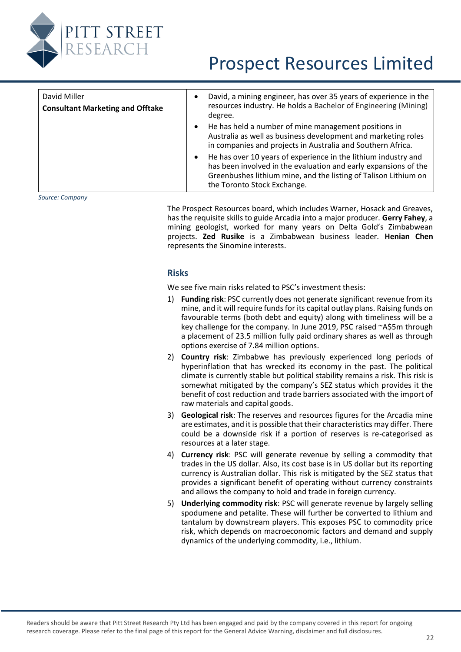

| David Miller<br><b>Consultant Marketing and Offtake</b> | David, a mining engineer, has over 35 years of experience in the<br>resources industry. He holds a Bachelor of Engineering (Mining)<br>degree.                                                                                                   |
|---------------------------------------------------------|--------------------------------------------------------------------------------------------------------------------------------------------------------------------------------------------------------------------------------------------------|
|                                                         | He has held a number of mine management positions in<br>Australia as well as business development and marketing roles<br>in companies and projects in Australia and Southern Africa.                                                             |
|                                                         | He has over 10 years of experience in the lithium industry and<br>$\bullet$<br>has been involved in the evaluation and early expansions of the<br>Greenbushes lithium mine, and the listing of Talison Lithium on<br>the Toronto Stock Exchange. |
|                                                         |                                                                                                                                                                                                                                                  |

<span id="page-21-0"></span>*Source: Company*

The Prospect Resources board, which includes Warner, Hosack and Greaves, has the requisite skills to guide Arcadia into a major producer. **Gerry Fahey**, a mining geologist, worked for many years on Delta Gold's Zimbabwean projects. **Zed Rusike** is a Zimbabwean business leader. **Henian Chen** represents the Sinomine interests.

#### **Risks**

We see five main risks related to PSC's investment thesis:

- 1) **Funding risk**: PSC currently does not generate significant revenue from its mine, and it will require funds for its capital outlay plans. Raising funds on favourable terms (both debt and equity) along with timeliness will be a key challenge for the company. In June 2019, PSC raised ~A\$5m through a placement of 23.5 million fully paid ordinary shares as well as through options exercise of 7.84 million options.
- 2) **Country risk**: Zimbabwe has previously experienced long periods of hyperinflation that has wrecked its economy in the past. The political climate is currently stable but political stability remains a risk. This risk is somewhat mitigated by the company's SEZ status which provides it the benefit of cost reduction and trade barriers associated with the import of raw materials and capital goods.
- 3) **Geological risk**: The reserves and resources figures for the Arcadia mine are estimates, and it is possible that their characteristics may differ. There could be a downside risk if a portion of reserves is re-categorised as resources at a later stage.
- 4) **Currency risk**: PSC will generate revenue by selling a commodity that trades in the US dollar. Also, its cost base is in US dollar but its reporting currency is Australian dollar. This risk is mitigated by the SEZ status that provides a significant benefit of operating without currency constraints and allows the company to hold and trade in foreign currency.
- 5) **Underlying commodity risk**: PSC will generate revenue by largely selling spodumene and petalite. These will further be converted to lithium and tantalum by downstream players. This exposes PSC to commodity price risk, which depends on macroeconomic factors and demand and supply dynamics of the underlying commodity, i.e., lithium.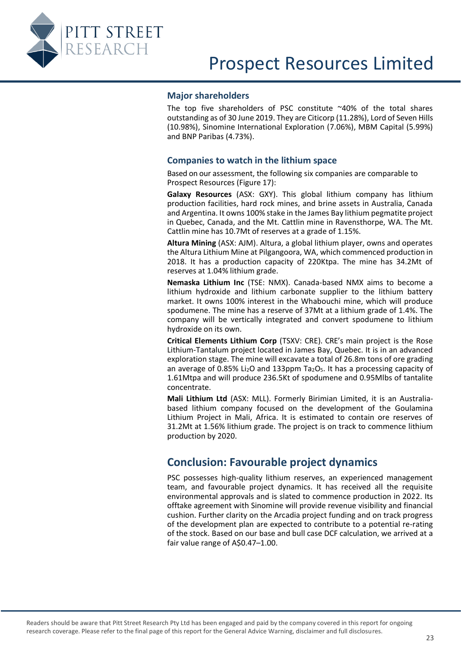<span id="page-22-0"></span>

#### **Major shareholders**

The top five shareholders of PSC constitute ~40% of the total shares outstanding as of 30 June 2019. They are Citicorp (11.28%), Lord of Seven Hills (10.98%), Sinomine International Exploration (7.06%), MBM Capital (5.99%) and BNP Paribas (4.73%).

#### <span id="page-22-1"></span>**Companies to watch in the lithium space**

Based on our assessment, the following six companies are comparable to Prospect Resources [\(Figure 17\)](#page-23-1):

**Galaxy Resources** (ASX: GXY). This global lithium company has lithium production facilities, hard rock mines, and brine assets in Australia, Canada and Argentina. It owns 100% stake in the James Bay lithium pegmatite project in Quebec, Canada, and the Mt. Cattlin mine in Ravensthorpe, WA. The Mt. Cattlin mine has 10.7Mt of reserves at a grade of 1.15%.

**Altura Mining** (ASX: AJM). Altura, a global lithium player, owns and operates the Altura Lithium Mine at Pilgangoora, WA, which commenced production in 2018. It has a production capacity of 220Ktpa. The mine has 34.2Mt of reserves at 1.04% lithium grade.

**Nemaska Lithium Inc** (TSE: NMX). Canada-based NMX aims to become a lithium hydroxide and lithium carbonate supplier to the lithium battery market. It owns 100% interest in the Whabouchi mine, which will produce spodumene. The mine has a reserve of 37Mt at a lithium grade of 1.4%. The company will be vertically integrated and convert spodumene to lithium hydroxide on its own.

**Critical Elements Lithium Corp** (TSXV: CRE). CRE's main project is the Rose Lithium-Tantalum project located in James Bay, Quebec. It is in an advanced exploration stage. The mine will excavate a total of 26.8m tons of ore grading an average of 0.85% Li<sub>2</sub>O and 133ppm Ta<sub>2</sub>O<sub>5</sub>. It has a processing capacity of 1.61Mtpa and will produce 236.5Kt of spodumene and 0.95Mlbs of tantalite concentrate.

**Mali Lithium Ltd** (ASX: MLL). Formerly Birimian Limited, it is an Australiabased lithium company focused on the development of the Goulamina Lithium Project in Mali, Africa. It is estimated to contain ore reserves of 31.2Mt at 1.56% lithium grade. The project is on track to commence lithium production by 2020.

### <span id="page-22-2"></span>**Conclusion: Favourable project dynamics**

PSC possesses high-quality lithium reserves, an experienced management team, and favourable project dynamics. It has received all the requisite environmental approvals and is slated to commence production in 2022. Its offtake agreement with Sinomine will provide revenue visibility and financial cushion. Further clarity on the Arcadia project funding and on track progress of the development plan are expected to contribute to a potential re-rating of the stock. Based on our base and bull case DCF calculation, we arrived at a fair value range of A\$0.47–1.00.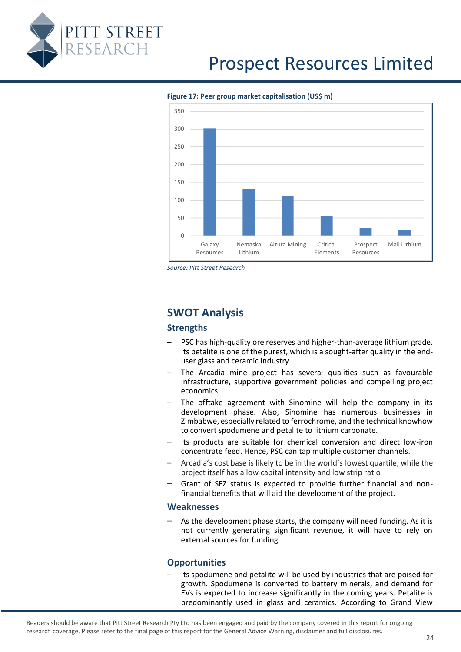

#### <span id="page-23-1"></span>**Figure 17: Peer group market capitalisation (US\$ m)**



*Source: Pitt Street Research*

### <span id="page-23-0"></span>**SWOT Analysis**

#### **Strengths**

- PSC has high-quality ore reserves and higher-than-average lithium grade. Its petalite is one of the purest, which is a sought-after quality in the enduser glass and ceramic industry.
- The Arcadia mine project has several qualities such as favourable infrastructure, supportive government policies and compelling project economics.
- The offtake agreement with Sinomine will help the company in its development phase. Also, Sinomine has numerous businesses in Zimbabwe, especially related to ferrochrome, and the technical knowhow to convert spodumene and petalite to lithium carbonate.
- Its products are suitable for chemical conversion and direct low-iron concentrate feed. Hence, PSC can tap multiple customer channels.
- Arcadia's cost base is likely to be in the world's lowest quartile, while the project itself has a low capital intensity and low strip ratio
- Grant of SEZ status is expected to provide further financial and nonfinancial benefits that will aid the development of the project.

#### **Weaknesses**

– As the development phase starts, the company will need funding. As it is not currently generating significant revenue, it will have to rely on external sources for funding.

#### **Opportunities**

Its spodumene and petalite will be used by industries that are poised for growth. Spodumene is converted to battery minerals, and demand for EVs is expected to increase significantly in the coming years. Petalite is predominantly used in glass and ceramics. According to Grand View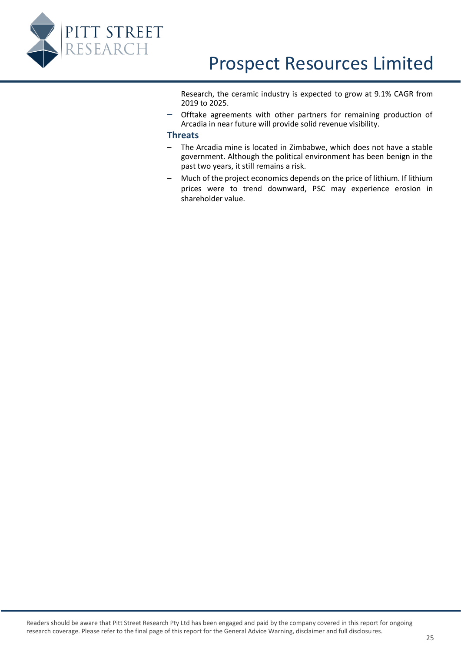

Research, the ceramic industry is expected to grow at 9.1% CAGR from 2019 to 2025.

– Offtake agreements with other partners for remaining production of Arcadia in near future will provide solid revenue visibility.

#### **Threats**

- The Arcadia mine is located in Zimbabwe, which does not have a stable government. Although the political environment has been benign in the past two years, it still remains a risk.
- Much of the project economics depends on the price of lithium. If lithium prices were to trend downward, PSC may experience erosion in shareholder value.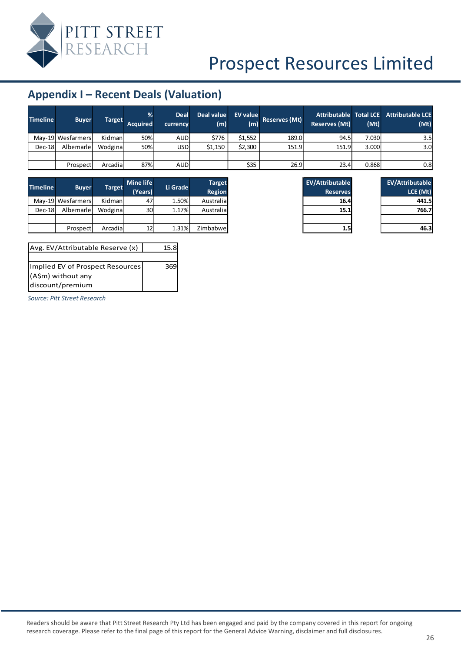

### <span id="page-25-0"></span> $App$

| <b>Timeline</b> | <b>Buyer</b>      | Target  | %<br><b>Acquired</b> | Deal<br>currency | Deal value<br>(m) | EV value<br>(m) | Reserves (Mt) | <b>Attributable Total LCE</b><br>Reserves (Mt) | (Mt)  | <b>Attributable LCE</b><br>(Mt) |
|-----------------|-------------------|---------|----------------------|------------------|-------------------|-----------------|---------------|------------------------------------------------|-------|---------------------------------|
|                 | May-19 Wesfarmers | Kidman  | 50%                  | <b>AUD</b>       | \$776             | \$1.552         | 189.0         | 94.5                                           | 7.030 | 3.5                             |
| $Dec-18$        | Albemarle         | Wodgina | 50%                  | <b>USD</b>       | \$1.150           | \$2,300         | 151.9         | 151.9                                          | 3.000 | 3.0 <sub>l</sub>                |
|                 |                   |         |                      |                  |                   |                 |               |                                                |       |                                 |
|                 | Prospect          | Arcadia | 87%                  | <b>AUD</b>       |                   | \$35            | 26.9          | 23.4                                           | 0.868 | 0.8                             |

| Timeline | <b>Buyer</b>      | <b>Target</b> | <b>Mine life</b> | Li Grade | <b>Target</b>   | <b>EV/Attributable</b> | <b>EV/Attributable</b> |
|----------|-------------------|---------------|------------------|----------|-----------------|------------------------|------------------------|
|          |                   |               | (Years)          | Region   | <b>Reserves</b> | LCE (Mt)               |                        |
|          | May-19 Wesfarmers | Kidman        | 47               | $1.50\%$ | Australia       | 16.4                   | 441.5                  |
| $Dec-18$ | Albemarle         | Wodgina       | 30               | 1.17%    | Australia       | 15.1                   | 766.7                  |
|          |                   |               |                  |          |                 |                        |                        |
|          | Prospect          | Arcadial      | 12               | 1.31%    | Zimbabwe        | 1.5                    | 46.3                   |

| Avg. EV/Attributable Reserve (x) | 15.8 |
|----------------------------------|------|
|                                  |      |
| Implied EV of Prospect Resources | 369  |
| (A\$m) without any               |      |
| discount/premium                 |      |

*Source: Pitt Street Research*

| endix I - Recent Deals (Valuation) |               |               |                      |                         |                   |                        |                      |                                                           |       |  |
|------------------------------------|---------------|---------------|----------------------|-------------------------|-------------------|------------------------|----------------------|-----------------------------------------------------------|-------|--|
| ne i                               | <b>Buyer</b>  | <b>Target</b> | %<br><b>Acquired</b> | <b>Deal</b><br>currency | Deal value<br>(m) | <b>EV value</b><br>(m) | <b>Reserves (Mt)</b> | Attributable Total LCE Attributab<br><b>Reserves (Mt)</b> | (Mt)  |  |
|                                    | 19 Wesfarmers | Kidman        | 50%                  | <b>AUD</b>              | \$776             | \$1,552                | 189.0                | 94.5                                                      | 7.030 |  |
| 18                                 | Albemarle     | Wodgina       | 50%                  | <b>USD</b>              | \$1,150           | \$2,300                | 151.9                | 151.9                                                     | 3.000 |  |

| <b>EV/Attributable</b> |  |
|------------------------|--|
| LCE (Mt)               |  |
| 441.5                  |  |
| 766.7                  |  |
|                        |  |
| 6.3                    |  |

| <b>EV/Attributable</b> |
|------------------------|
| <b>Reserves</b>        |
| 16.4                   |
| 15.1                   |
|                        |
|                        |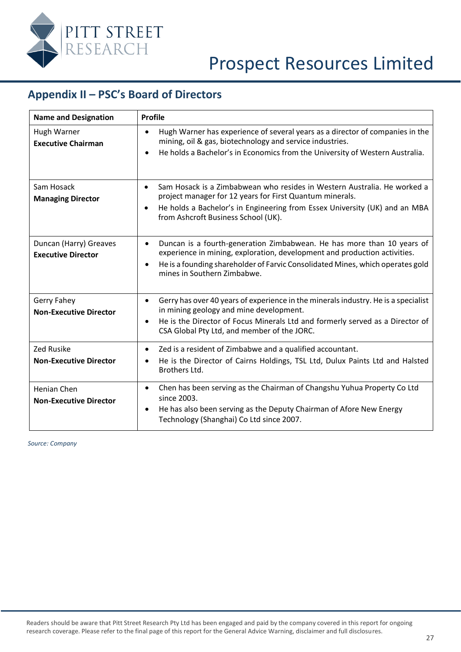

### <span id="page-26-0"></span>**Appendix II – PSC's Board of Directors**

| <b>Name and Designation</b>                         | <b>Profile</b>                                                                                                                                                                                                                                      |  |  |  |  |
|-----------------------------------------------------|-----------------------------------------------------------------------------------------------------------------------------------------------------------------------------------------------------------------------------------------------------|--|--|--|--|
| Hugh Warner<br><b>Executive Chairman</b>            | Hugh Warner has experience of several years as a director of companies in the<br>$\bullet$<br>mining, oil & gas, biotechnology and service industries.<br>He holds a Bachelor's in Economics from the University of Western Australia.<br>$\bullet$ |  |  |  |  |
|                                                     |                                                                                                                                                                                                                                                     |  |  |  |  |
| Sam Hosack<br><b>Managing Director</b>              | Sam Hosack is a Zimbabwean who resides in Western Australia. He worked a<br>$\bullet$<br>project manager for 12 years for First Quantum minerals.                                                                                                   |  |  |  |  |
|                                                     | He holds a Bachelor's in Engineering from Essex University (UK) and an MBA<br>$\bullet$<br>from Ashcroft Business School (UK).                                                                                                                      |  |  |  |  |
| Duncan (Harry) Greaves<br><b>Executive Director</b> | Duncan is a fourth-generation Zimbabwean. He has more than 10 years of<br>$\bullet$<br>experience in mining, exploration, development and production activities.                                                                                    |  |  |  |  |
|                                                     | He is a founding shareholder of Farvic Consolidated Mines, which operates gold<br>$\bullet$<br>mines in Southern Zimbabwe.                                                                                                                          |  |  |  |  |
| Gerry Fahey<br><b>Non-Executive Director</b>        | Gerry has over 40 years of experience in the minerals industry. He is a specialist<br>$\bullet$<br>in mining geology and mine development.                                                                                                          |  |  |  |  |
|                                                     | He is the Director of Focus Minerals Ltd and formerly served as a Director of<br>$\bullet$<br>CSA Global Pty Ltd, and member of the JORC.                                                                                                           |  |  |  |  |
| <b>Zed Rusike</b>                                   | Zed is a resident of Zimbabwe and a qualified accountant.<br>٠                                                                                                                                                                                      |  |  |  |  |
| <b>Non-Executive Director</b>                       | He is the Director of Cairns Holdings, TSL Ltd, Dulux Paints Ltd and Halsted<br>$\bullet$<br>Brothers Ltd.                                                                                                                                          |  |  |  |  |
| Henian Chen                                         | Chen has been serving as the Chairman of Changshu Yuhua Property Co Ltd<br>$\bullet$<br>since 2003.                                                                                                                                                 |  |  |  |  |
| <b>Non-Executive Director</b>                       | He has also been serving as the Deputy Chairman of Afore New Energy<br>$\bullet$<br>Technology (Shanghai) Co Ltd since 2007.                                                                                                                        |  |  |  |  |

*Source: Company*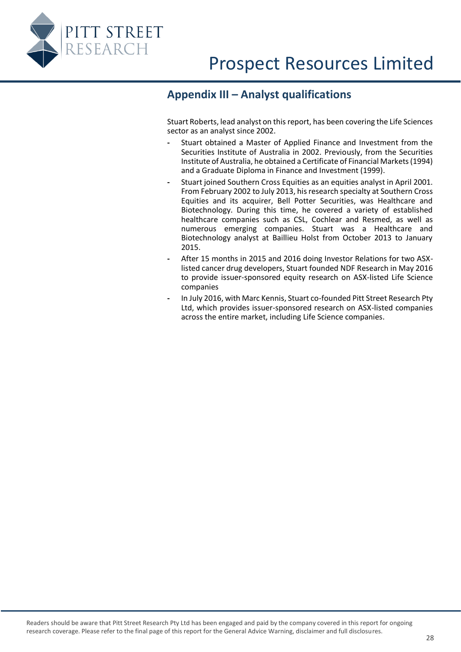<span id="page-27-0"></span>

### **Appendix III – Analyst qualifications**

Stuart Roberts, lead analyst on this report, has been covering the Life Sciences sector as an analyst since 2002.

- **-** Stuart obtained a Master of Applied Finance and Investment from the Securities Institute of Australia in 2002. Previously, from the Securities Institute of Australia, he obtained a Certificate of Financial Markets (1994) and a Graduate Diploma in Finance and Investment (1999).
- **-** Stuart joined Southern Cross Equities as an equities analyst in April 2001. From February 2002 to July 2013, his research specialty at Southern Cross Equities and its acquirer, Bell Potter Securities, was Healthcare and Biotechnology. During this time, he covered a variety of established healthcare companies such as CSL, Cochlear and Resmed, as well as numerous emerging companies. Stuart was a Healthcare and Biotechnology analyst at Baillieu Holst from October 2013 to January 2015.
- **-** After 15 months in 2015 and 2016 doing Investor Relations for two ASXlisted cancer drug developers, Stuart founded NDF Research in May 2016 to provide issuer-sponsored equity research on ASX-listed Life Science companies
- **-** In July 2016, with Marc Kennis, Stuart co-founded Pitt Street Research Pty Ltd, which provides issuer-sponsored research on ASX-listed companies across the entire market, including Life Science companies.